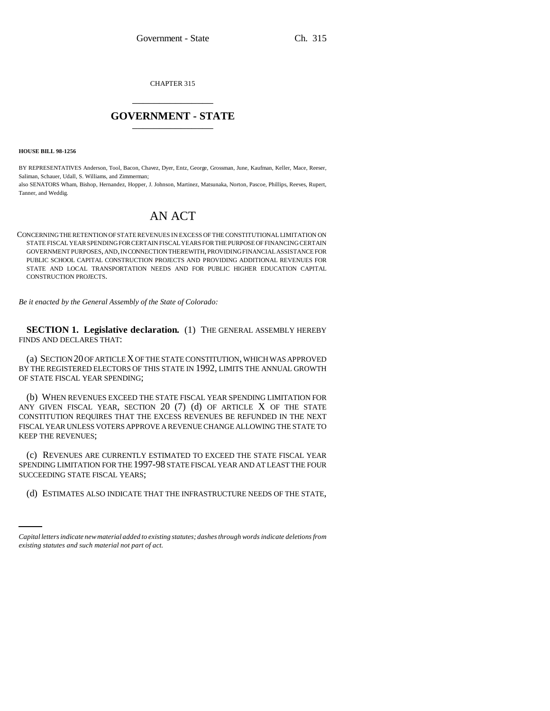CHAPTER 315 \_\_\_\_\_\_\_\_\_\_\_\_\_\_\_

## **GOVERNMENT - STATE** \_\_\_\_\_\_\_\_\_\_\_\_\_\_\_

**HOUSE BILL 98-1256**

BY REPRESENTATIVES Anderson, Tool, Bacon, Chavez, Dyer, Entz, George, Grossman, June, Kaufman, Keller, Mace, Reeser, Saliman, Schauer, Udall, S. Williams, and Zimmerman;

also SENATORS Wham, Bishop, Hernandez, Hopper, J. Johnson, Martinez, Matsunaka, Norton, Pascoe, Phillips, Reeves, Rupert, Tanner, and Weddig.

# AN ACT

CONCERNING THE RETENTION OF STATE REVENUES IN EXCESS OF THE CONSTITUTIONAL LIMITATION ON STATE FISCAL YEAR SPENDING FOR CERTAIN FISCAL YEARS FOR THE PURPOSE OF FINANCING CERTAIN GOVERNMENT PURPOSES, AND, IN CONNECTION THEREWITH, PROVIDING FINANCIAL ASSISTANCE FOR PUBLIC SCHOOL CAPITAL CONSTRUCTION PROJECTS AND PROVIDING ADDITIONAL REVENUES FOR STATE AND LOCAL TRANSPORTATION NEEDS AND FOR PUBLIC HIGHER EDUCATION CAPITAL CONSTRUCTION PROJECTS.

*Be it enacted by the General Assembly of the State of Colorado:*

**SECTION 1. Legislative declaration.** (1) THE GENERAL ASSEMBLY HEREBY FINDS AND DECLARES THAT:

(a) SECTION 20 OF ARTICLE X OF THE STATE CONSTITUTION, WHICH WAS APPROVED BY THE REGISTERED ELECTORS OF THIS STATE IN 1992, LIMITS THE ANNUAL GROWTH OF STATE FISCAL YEAR SPENDING;

(b) WHEN REVENUES EXCEED THE STATE FISCAL YEAR SPENDING LIMITATION FOR ANY GIVEN FISCAL YEAR, SECTION  $20$  (7) (d) OF ARTICLE X OF THE STATE CONSTITUTION REQUIRES THAT THE EXCESS REVENUES BE REFUNDED IN THE NEXT FISCAL YEAR UNLESS VOTERS APPROVE A REVENUE CHANGE ALLOWING THE STATE TO KEEP THE REVENUES;

SUCCEEDING STATE FISCAL YEARS; (c) REVENUES ARE CURRENTLY ESTIMATED TO EXCEED THE STATE FISCAL YEAR SPENDING LIMITATION FOR THE 1997-98 STATE FISCAL YEAR AND AT LEAST THE FOUR

(d) ESTIMATES ALSO INDICATE THAT THE INFRASTRUCTURE NEEDS OF THE STATE,

*Capital letters indicate new material added to existing statutes; dashes through words indicate deletions from existing statutes and such material not part of act.*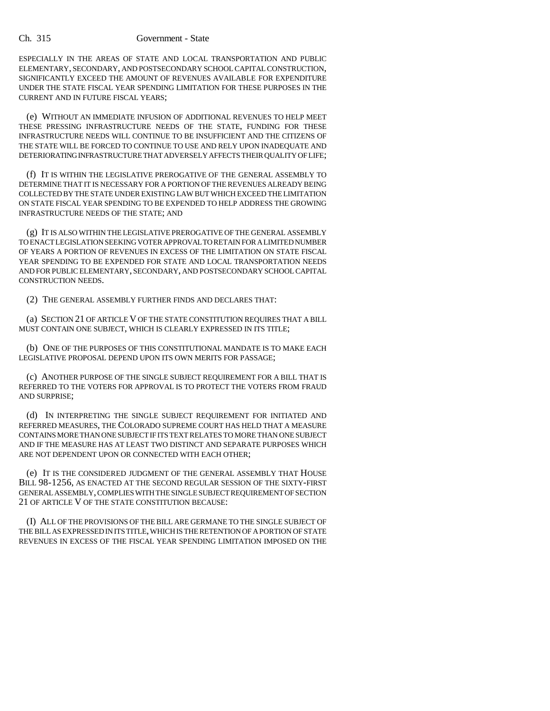#### Ch. 315 Government - State

ESPECIALLY IN THE AREAS OF STATE AND LOCAL TRANSPORTATION AND PUBLIC ELEMENTARY, SECONDARY, AND POSTSECONDARY SCHOOL CAPITAL CONSTRUCTION, SIGNIFICANTLY EXCEED THE AMOUNT OF REVENUES AVAILABLE FOR EXPENDITURE UNDER THE STATE FISCAL YEAR SPENDING LIMITATION FOR THESE PURPOSES IN THE CURRENT AND IN FUTURE FISCAL YEARS;

(e) WITHOUT AN IMMEDIATE INFUSION OF ADDITIONAL REVENUES TO HELP MEET THESE PRESSING INFRASTRUCTURE NEEDS OF THE STATE, FUNDING FOR THESE INFRASTRUCTURE NEEDS WILL CONTINUE TO BE INSUFFICIENT AND THE CITIZENS OF THE STATE WILL BE FORCED TO CONTINUE TO USE AND RELY UPON INADEQUATE AND DETERIORATING INFRASTRUCTURE THAT ADVERSELY AFFECTS THEIR QUALITY OF LIFE;

(f) IT IS WITHIN THE LEGISLATIVE PREROGATIVE OF THE GENERAL ASSEMBLY TO DETERMINE THAT IT IS NECESSARY FOR A PORTION OF THE REVENUES ALREADY BEING COLLECTED BY THE STATE UNDER EXISTING LAW BUT WHICH EXCEED THE LIMITATION ON STATE FISCAL YEAR SPENDING TO BE EXPENDED TO HELP ADDRESS THE GROWING INFRASTRUCTURE NEEDS OF THE STATE; AND

(g) IT IS ALSO WITHIN THE LEGISLATIVE PREROGATIVE OF THE GENERAL ASSEMBLY TO ENACT LEGISLATION SEEKING VOTER APPROVAL TO RETAIN FOR A LIMITED NUMBER OF YEARS A PORTION OF REVENUES IN EXCESS OF THE LIMITATION ON STATE FISCAL YEAR SPENDING TO BE EXPENDED FOR STATE AND LOCAL TRANSPORTATION NEEDS AND FOR PUBLIC ELEMENTARY, SECONDARY, AND POSTSECONDARY SCHOOL CAPITAL CONSTRUCTION NEEDS.

(2) THE GENERAL ASSEMBLY FURTHER FINDS AND DECLARES THAT:

(a) SECTION 21 OF ARTICLE V OF THE STATE CONSTITUTION REQUIRES THAT A BILL MUST CONTAIN ONE SUBJECT, WHICH IS CLEARLY EXPRESSED IN ITS TITLE;

(b) ONE OF THE PURPOSES OF THIS CONSTITUTIONAL MANDATE IS TO MAKE EACH LEGISLATIVE PROPOSAL DEPEND UPON ITS OWN MERITS FOR PASSAGE;

(c) ANOTHER PURPOSE OF THE SINGLE SUBJECT REQUIREMENT FOR A BILL THAT IS REFERRED TO THE VOTERS FOR APPROVAL IS TO PROTECT THE VOTERS FROM FRAUD AND SURPRISE;

(d) IN INTERPRETING THE SINGLE SUBJECT REQUIREMENT FOR INITIATED AND REFERRED MEASURES, THE COLORADO SUPREME COURT HAS HELD THAT A MEASURE CONTAINS MORE THAN ONE SUBJECT IF ITS TEXT RELATES TO MORE THAN ONE SUBJECT AND IF THE MEASURE HAS AT LEAST TWO DISTINCT AND SEPARATE PURPOSES WHICH ARE NOT DEPENDENT UPON OR CONNECTED WITH EACH OTHER;

(e) IT IS THE CONSIDERED JUDGMENT OF THE GENERAL ASSEMBLY THAT HOUSE BILL 98-1256, AS ENACTED AT THE SECOND REGULAR SESSION OF THE SIXTY-FIRST GENERAL ASSEMBLY, COMPLIES WITH THE SINGLE SUBJECT REQUIREMENT OF SECTION 21 OF ARTICLE V OF THE STATE CONSTITUTION BECAUSE:

(I) ALL OF THE PROVISIONS OF THE BILL ARE GERMANE TO THE SINGLE SUBJECT OF THE BILL AS EXPRESSED IN ITS TITLE, WHICH IS THE RETENTION OF A PORTION OF STATE REVENUES IN EXCESS OF THE FISCAL YEAR SPENDING LIMITATION IMPOSED ON THE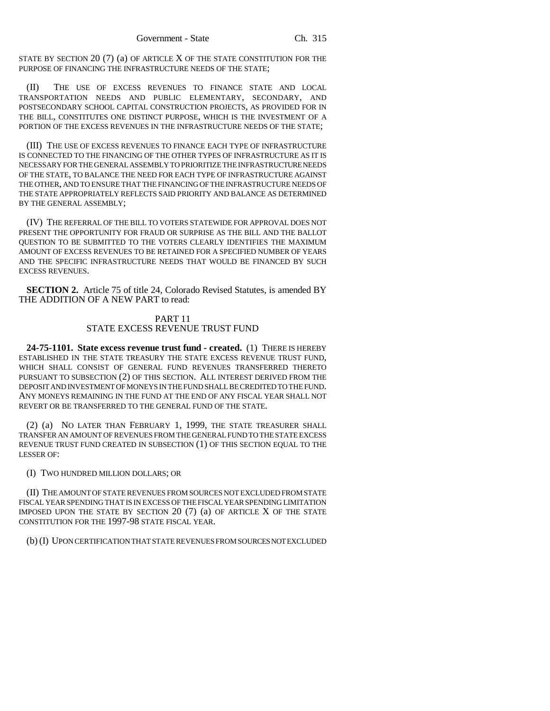STATE BY SECTION  $20(7)$  (a) OF ARTICLE X OF THE STATE CONSTITUTION FOR THE PURPOSE OF FINANCING THE INFRASTRUCTURE NEEDS OF THE STATE;

(II) THE USE OF EXCESS REVENUES TO FINANCE STATE AND LOCAL TRANSPORTATION NEEDS AND PUBLIC ELEMENTARY, SECONDARY, AND POSTSECONDARY SCHOOL CAPITAL CONSTRUCTION PROJECTS, AS PROVIDED FOR IN THE BILL, CONSTITUTES ONE DISTINCT PURPOSE, WHICH IS THE INVESTMENT OF A PORTION OF THE EXCESS REVENUES IN THE INFRASTRUCTURE NEEDS OF THE STATE;

(III) THE USE OF EXCESS REVENUES TO FINANCE EACH TYPE OF INFRASTRUCTURE IS CONNECTED TO THE FINANCING OF THE OTHER TYPES OF INFRASTRUCTURE AS IT IS NECESSARY FOR THE GENERAL ASSEMBLY TO PRIORITIZE THE INFRASTRUCTURE NEEDS OF THE STATE, TO BALANCE THE NEED FOR EACH TYPE OF INFRASTRUCTURE AGAINST THE OTHER, AND TO ENSURE THAT THE FINANCING OF THE INFRASTRUCTURE NEEDS OF THE STATE APPROPRIATELY REFLECTS SAID PRIORITY AND BALANCE AS DETERMINED BY THE GENERAL ASSEMBLY;

(IV) THE REFERRAL OF THE BILL TO VOTERS STATEWIDE FOR APPROVAL DOES NOT PRESENT THE OPPORTUNITY FOR FRAUD OR SURPRISE AS THE BILL AND THE BALLOT QUESTION TO BE SUBMITTED TO THE VOTERS CLEARLY IDENTIFIES THE MAXIMUM AMOUNT OF EXCESS REVENUES TO BE RETAINED FOR A SPECIFIED NUMBER OF YEARS AND THE SPECIFIC INFRASTRUCTURE NEEDS THAT WOULD BE FINANCED BY SUCH EXCESS REVENUES.

**SECTION 2.** Article 75 of title 24, Colorado Revised Statutes, is amended BY THE ADDITION OF A NEW PART to read:

### PART 11 STATE EXCESS REVENUE TRUST FUND

**24-75-1101. State excess revenue trust fund - created.** (1) THERE IS HEREBY ESTABLISHED IN THE STATE TREASURY THE STATE EXCESS REVENUE TRUST FUND, WHICH SHALL CONSIST OF GENERAL FUND REVENUES TRANSFERRED THERETO PURSUANT TO SUBSECTION (2) OF THIS SECTION. ALL INTEREST DERIVED FROM THE DEPOSIT AND INVESTMENT OF MONEYS IN THE FUND SHALL BE CREDITED TO THE FUND. ANY MONEYS REMAINING IN THE FUND AT THE END OF ANY FISCAL YEAR SHALL NOT REVERT OR BE TRANSFERRED TO THE GENERAL FUND OF THE STATE.

(2) (a) NO LATER THAN FEBRUARY 1, 1999, THE STATE TREASURER SHALL TRANSFER AN AMOUNT OF REVENUES FROM THE GENERAL FUND TO THE STATE EXCESS REVENUE TRUST FUND CREATED IN SUBSECTION (1) OF THIS SECTION EQUAL TO THE LESSER OF:

#### (I) TWO HUNDRED MILLION DOLLARS; OR

(II) THE AMOUNT OF STATE REVENUES FROM SOURCES NOT EXCLUDED FROM STATE FISCAL YEAR SPENDING THAT IS IN EXCESS OF THE FISCAL YEAR SPENDING LIMITATION IMPOSED UPON THE STATE BY SECTION 20 (7) (a) OF ARTICLE X OF THE STATE CONSTITUTION FOR THE 1997-98 STATE FISCAL YEAR.

(b) (I) UPON CERTIFICATION THAT STATE REVENUES FROM SOURCES NOT EXCLUDED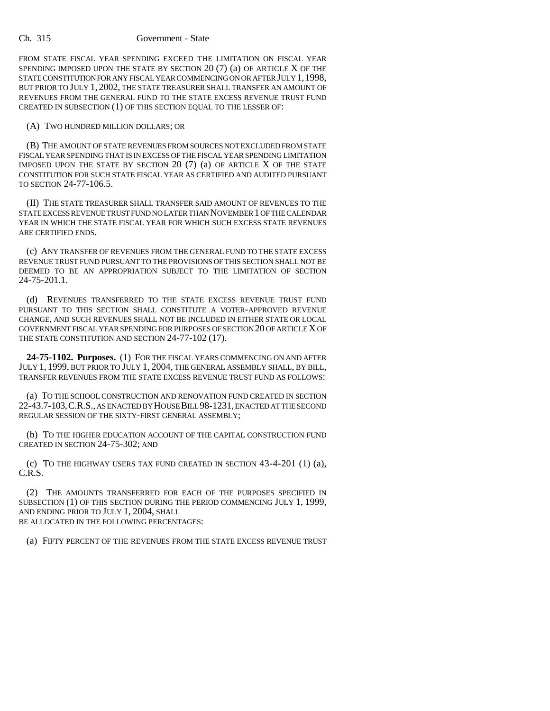#### Ch. 315 Government - State

FROM STATE FISCAL YEAR SPENDING EXCEED THE LIMITATION ON FISCAL YEAR SPENDING IMPOSED UPON THE STATE BY SECTION 20 (7) (a) OF ARTICLE X OF THE STATE CONSTITUTION FOR ANY FISCAL YEAR COMMENCING ON OR AFTER JULY 1,1998, BUT PRIOR TO JULY 1, 2002, THE STATE TREASURER SHALL TRANSFER AN AMOUNT OF REVENUES FROM THE GENERAL FUND TO THE STATE EXCESS REVENUE TRUST FUND CREATED IN SUBSECTION (1) OF THIS SECTION EQUAL TO THE LESSER OF:

#### (A) TWO HUNDRED MILLION DOLLARS; OR

(B) THE AMOUNT OF STATE REVENUES FROM SOURCES NOT EXCLUDED FROM STATE FISCAL YEAR SPENDING THAT IS IN EXCESS OF THE FISCAL YEAR SPENDING LIMITATION IMPOSED UPON THE STATE BY SECTION  $20$  (7) (a) OF ARTICLE X OF THE STATE CONSTITUTION FOR SUCH STATE FISCAL YEAR AS CERTIFIED AND AUDITED PURSUANT TO SECTION 24-77-106.5.

(II) THE STATE TREASURER SHALL TRANSFER SAID AMOUNT OF REVENUES TO THE STATE EXCESS REVENUE TRUST FUND NO LATER THAN NOVEMBER 1 OF THE CALENDAR YEAR IN WHICH THE STATE FISCAL YEAR FOR WHICH SUCH EXCESS STATE REVENUES ARE CERTIFIED ENDS.

(c) ANY TRANSFER OF REVENUES FROM THE GENERAL FUND TO THE STATE EXCESS REVENUE TRUST FUND PURSUANT TO THE PROVISIONS OF THIS SECTION SHALL NOT BE DEEMED TO BE AN APPROPRIATION SUBJECT TO THE LIMITATION OF SECTION 24-75-201.1.

(d) REVENUES TRANSFERRED TO THE STATE EXCESS REVENUE TRUST FUND PURSUANT TO THIS SECTION SHALL CONSTITUTE A VOTER-APPROVED REVENUE CHANGE, AND SUCH REVENUES SHALL NOT BE INCLUDED IN EITHER STATE OR LOCAL GOVERNMENT FISCAL YEAR SPENDING FOR PURPOSES OF SECTION 20 OF ARTICLE X OF THE STATE CONSTITUTION AND SECTION 24-77-102 (17).

**24-75-1102. Purposes.** (1) FOR THE FISCAL YEARS COMMENCING ON AND AFTER JULY 1, 1999, BUT PRIOR TO JULY 1, 2004, THE GENERAL ASSEMBLY SHALL, BY BILL, TRANSFER REVENUES FROM THE STATE EXCESS REVENUE TRUST FUND AS FOLLOWS:

(a) TO THE SCHOOL CONSTRUCTION AND RENOVATION FUND CREATED IN SECTION 22-43.7-103,C.R.S., AS ENACTED BY HOUSE BILL 98-1231, ENACTED AT THE SECOND REGULAR SESSION OF THE SIXTY-FIRST GENERAL ASSEMBLY;

(b) TO THE HIGHER EDUCATION ACCOUNT OF THE CAPITAL CONSTRUCTION FUND CREATED IN SECTION 24-75-302; AND

(c) To the HIGHWAY USERS TAX FUND CREATED IN SECTION  $43-4-201$  (1) (a), C.R.S.

(2) THE AMOUNTS TRANSFERRED FOR EACH OF THE PURPOSES SPECIFIED IN SUBSECTION (1) OF THIS SECTION DURING THE PERIOD COMMENCING JULY 1, 1999, AND ENDING PRIOR TO JULY 1, 2004, SHALL BE ALLOCATED IN THE FOLLOWING PERCENTAGES:

(a) FIFTY PERCENT OF THE REVENUES FROM THE STATE EXCESS REVENUE TRUST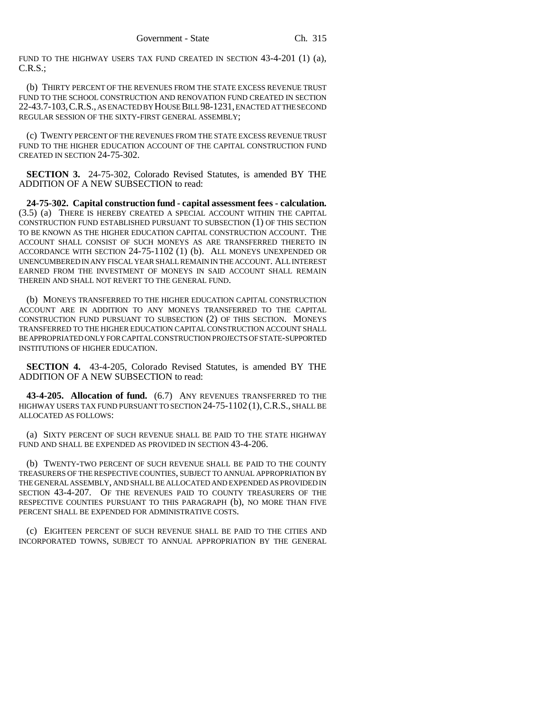FUND TO THE HIGHWAY USERS TAX FUND CREATED IN SECTION 43-4-201 (1) (a), C.R.S.;

(b) THIRTY PERCENT OF THE REVENUES FROM THE STATE EXCESS REVENUE TRUST FUND TO THE SCHOOL CONSTRUCTION AND RENOVATION FUND CREATED IN SECTION 22-43.7-103,C.R.S., AS ENACTED BY HOUSE BILL 98-1231, ENACTED AT THE SECOND REGULAR SESSION OF THE SIXTY-FIRST GENERAL ASSEMBLY;

(c) TWENTY PERCENT OF THE REVENUES FROM THE STATE EXCESS REVENUE TRUST FUND TO THE HIGHER EDUCATION ACCOUNT OF THE CAPITAL CONSTRUCTION FUND CREATED IN SECTION 24-75-302.

**SECTION 3.** 24-75-302, Colorado Revised Statutes, is amended BY THE ADDITION OF A NEW SUBSECTION to read:

**24-75-302. Capital construction fund - capital assessment fees - calculation.** (3.5) (a) THERE IS HEREBY CREATED A SPECIAL ACCOUNT WITHIN THE CAPITAL CONSTRUCTION FUND ESTABLISHED PURSUANT TO SUBSECTION (1) OF THIS SECTION TO BE KNOWN AS THE HIGHER EDUCATION CAPITAL CONSTRUCTION ACCOUNT. THE ACCOUNT SHALL CONSIST OF SUCH MONEYS AS ARE TRANSFERRED THERETO IN ACCORDANCE WITH SECTION 24-75-1102 (1) (b). ALL MONEYS UNEXPENDED OR UNENCUMBERED IN ANY FISCAL YEAR SHALL REMAIN IN THE ACCOUNT. ALL INTEREST EARNED FROM THE INVESTMENT OF MONEYS IN SAID ACCOUNT SHALL REMAIN THEREIN AND SHALL NOT REVERT TO THE GENERAL FUND.

(b) MONEYS TRANSFERRED TO THE HIGHER EDUCATION CAPITAL CONSTRUCTION ACCOUNT ARE IN ADDITION TO ANY MONEYS TRANSFERRED TO THE CAPITAL CONSTRUCTION FUND PURSUANT TO SUBSECTION (2) OF THIS SECTION. MONEYS TRANSFERRED TO THE HIGHER EDUCATION CAPITAL CONSTRUCTION ACCOUNT SHALL BE APPROPRIATED ONLY FOR CAPITAL CONSTRUCTION PROJECTS OF STATE-SUPPORTED INSTITUTIONS OF HIGHER EDUCATION.

**SECTION 4.** 43-4-205, Colorado Revised Statutes, is amended BY THE ADDITION OF A NEW SUBSECTION to read:

**43-4-205. Allocation of fund.** (6.7) ANY REVENUES TRANSFERRED TO THE HIGHWAY USERS TAX FUND PURSUANT TO SECTION 24-75-1102 (1), C.R.S., SHALL BE ALLOCATED AS FOLLOWS:

(a) SIXTY PERCENT OF SUCH REVENUE SHALL BE PAID TO THE STATE HIGHWAY FUND AND SHALL BE EXPENDED AS PROVIDED IN SECTION 43-4-206.

(b) TWENTY-TWO PERCENT OF SUCH REVENUE SHALL BE PAID TO THE COUNTY TREASURERS OF THE RESPECTIVE COUNTIES, SUBJECT TO ANNUAL APPROPRIATION BY THE GENERAL ASSEMBLY, AND SHALL BE ALLOCATED AND EXPENDED AS PROVIDED IN SECTION 43-4-207. OF THE REVENUES PAID TO COUNTY TREASURERS OF THE RESPECTIVE COUNTIES PURSUANT TO THIS PARAGRAPH (b), NO MORE THAN FIVE PERCENT SHALL BE EXPENDED FOR ADMINISTRATIVE COSTS.

(c) EIGHTEEN PERCENT OF SUCH REVENUE SHALL BE PAID TO THE CITIES AND INCORPORATED TOWNS, SUBJECT TO ANNUAL APPROPRIATION BY THE GENERAL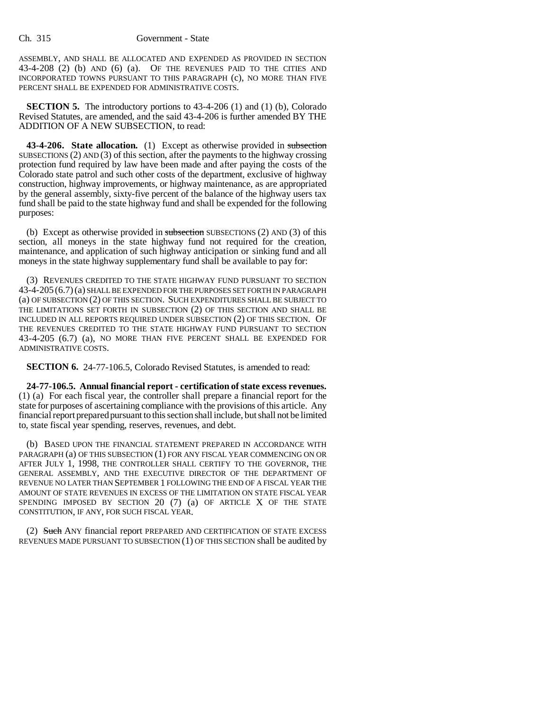ASSEMBLY, AND SHALL BE ALLOCATED AND EXPENDED AS PROVIDED IN SECTION 43-4-208 (2) (b) AND (6) (a). OF THE REVENUES PAID TO THE CITIES AND INCORPORATED TOWNS PURSUANT TO THIS PARAGRAPH (c), NO MORE THAN FIVE PERCENT SHALL BE EXPENDED FOR ADMINISTRATIVE COSTS.

**SECTION 5.** The introductory portions to 43-4-206 (1) and (1) (b), Colorado Revised Statutes, are amended, and the said 43-4-206 is further amended BY THE ADDITION OF A NEW SUBSECTION, to read:

**43-4-206. State allocation.** (1) Except as otherwise provided in subsection SUBSECTIONS (2) AND (3) of this section, after the payments to the highway crossing protection fund required by law have been made and after paying the costs of the Colorado state patrol and such other costs of the department, exclusive of highway construction, highway improvements, or highway maintenance, as are appropriated by the general assembly, sixty-five percent of the balance of the highway users tax fund shall be paid to the state highway fund and shall be expended for the following purposes:

(b) Except as otherwise provided in subsection SUBSECTIONS  $(2)$  AND  $(3)$  of this section, all moneys in the state highway fund not required for the creation, maintenance, and application of such highway anticipation or sinking fund and all moneys in the state highway supplementary fund shall be available to pay for:

(3) REVENUES CREDITED TO THE STATE HIGHWAY FUND PURSUANT TO SECTION 43-4-205 (6.7)(a) SHALL BE EXPENDED FOR THE PURPOSES SET FORTH IN PARAGRAPH (a) OF SUBSECTION (2) OF THIS SECTION. SUCH EXPENDITURES SHALL BE SUBJECT TO THE LIMITATIONS SET FORTH IN SUBSECTION (2) OF THIS SECTION AND SHALL BE INCLUDED IN ALL REPORTS REQUIRED UNDER SUBSECTION (2) OF THIS SECTION. OF THE REVENUES CREDITED TO THE STATE HIGHWAY FUND PURSUANT TO SECTION 43-4-205 (6.7) (a), NO MORE THAN FIVE PERCENT SHALL BE EXPENDED FOR ADMINISTRATIVE COSTS.

**SECTION 6.** 24-77-106.5, Colorado Revised Statutes, is amended to read:

**24-77-106.5. Annual financial report - certification of state excess revenues.** (1) (a) For each fiscal year, the controller shall prepare a financial report for the state for purposes of ascertaining compliance with the provisions of this article. Any financial report prepared pursuant to this section shall include, but shall not be limited to, state fiscal year spending, reserves, revenues, and debt.

(b) BASED UPON THE FINANCIAL STATEMENT PREPARED IN ACCORDANCE WITH PARAGRAPH (a) OF THIS SUBSECTION (1) FOR ANY FISCAL YEAR COMMENCING ON OR AFTER JULY 1, 1998, THE CONTROLLER SHALL CERTIFY TO THE GOVERNOR, THE GENERAL ASSEMBLY, AND THE EXECUTIVE DIRECTOR OF THE DEPARTMENT OF REVENUE NO LATER THAN SEPTEMBER 1 FOLLOWING THE END OF A FISCAL YEAR THE AMOUNT OF STATE REVENUES IN EXCESS OF THE LIMITATION ON STATE FISCAL YEAR SPENDING IMPOSED BY SECTION 20 (7) (a) OF ARTICLE X OF THE STATE CONSTITUTION, IF ANY, FOR SUCH FISCAL YEAR.

(2) Such ANY financial report PREPARED AND CERTIFICATION OF STATE EXCESS REVENUES MADE PURSUANT TO SUBSECTION (1) OF THIS SECTION shall be audited by